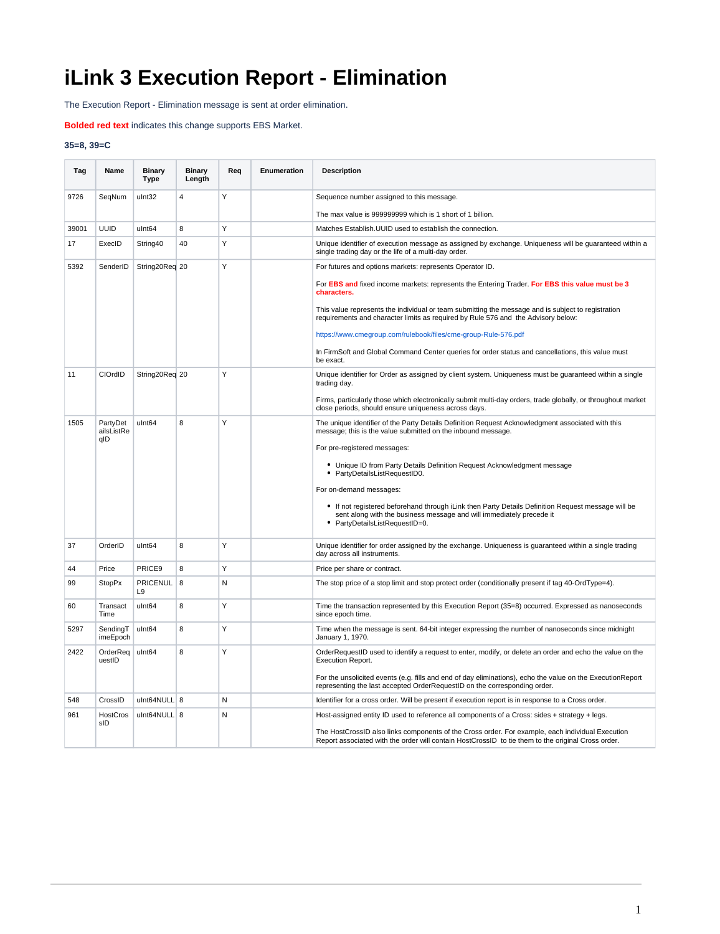## **iLink 3 Execution Report - Elimination**

The Execution Report - Elimination message is sent at order elimination.

**Bolded red text** indicates this change supports EBS Market.

## **35=8, 39=C**

| Tag   | Name                          | <b>Binary</b><br><b>Type</b> | <b>Binary</b><br>Length | Reg | Enumeration | <b>Description</b>                                                                                                                                                                                         |
|-------|-------------------------------|------------------------------|-------------------------|-----|-------------|------------------------------------------------------------------------------------------------------------------------------------------------------------------------------------------------------------|
| 9726  | SegNum                        | ulnt32                       | $\overline{4}$          | Υ   |             | Sequence number assigned to this message.                                                                                                                                                                  |
|       |                               |                              |                         |     |             | The max value is 999999999 which is 1 short of 1 billion.                                                                                                                                                  |
| 39001 | <b>UUID</b>                   | ulnt64                       | 8                       | Y   |             | Matches Establish. UUID used to establish the connection.                                                                                                                                                  |
| 17    | ExecID                        | String40                     | 40                      | Υ   |             | Unique identifier of execution message as assigned by exchange. Uniqueness will be guaranteed within a<br>single trading day or the life of a multi-day order.                                             |
| 5392  | SenderID                      | String20Req 20               |                         | Y   |             | For futures and options markets: represents Operator ID.<br>For EBS and fixed income markets: represents the Entering Trader. For EBS this value must be 3                                                 |
|       |                               |                              |                         |     |             | characters.                                                                                                                                                                                                |
|       |                               |                              |                         |     |             | This value represents the individual or team submitting the message and is subject to registration<br>requirements and character limits as required by Rule 576 and the Advisory below:                    |
|       |                               |                              |                         |     |             | https://www.cmegroup.com/rulebook/files/cme-group-Rule-576.pdf                                                                                                                                             |
|       |                               |                              |                         |     |             | In FirmSoft and Global Command Center queries for order status and cancellations, this value must<br>be exact.                                                                                             |
| 11    | CIOrdID                       | String20Req 20               |                         | Y   |             | Unique identifier for Order as assigned by client system. Uniqueness must be guaranteed within a single<br>trading day.                                                                                    |
|       |                               |                              |                         |     |             | Firms, particularly those which electronically submit multi-day orders, trade globally, or throughout market<br>close periods, should ensure uniqueness across days.                                       |
| 1505  | PartyDet<br>ailsListRe<br>qID | ulnt64                       | 8                       | Y   |             | The unique identifier of the Party Details Definition Request Acknowledgment associated with this<br>message; this is the value submitted on the inbound message.                                          |
|       |                               |                              |                         |     |             | For pre-registered messages:                                                                                                                                                                               |
|       |                               |                              |                         |     |             | Unique ID from Party Details Definition Request Acknowledgment message<br>PartyDetailsListRequestID0.                                                                                                      |
|       |                               |                              |                         |     |             | For on-demand messages:                                                                                                                                                                                    |
|       |                               |                              |                         |     |             | • If not registered beforehand through iLink then Party Details Definition Request message will be<br>sent along with the business message and will immediately precede it<br>PartyDetailsListRequestID=0. |
| 37    | OrderID                       | ulnt <sub>64</sub>           | 8                       | Y   |             | Unique identifier for order assigned by the exchange. Uniqueness is guaranteed within a single trading<br>day across all instruments.                                                                      |
| 44    | Price                         | PRICE <sub>9</sub>           | 8                       | Υ   |             | Price per share or contract.                                                                                                                                                                               |
| 99    | <b>StopPx</b>                 | <b>PRICENUL</b><br>L9        | 8                       | N   |             | The stop price of a stop limit and stop protect order (conditionally present if tag 40-OrdType=4).                                                                                                         |
| 60    | Transact<br>Time              | ulnt <sub>64</sub>           | 8                       | Y   |             | Time the transaction represented by this Execution Report (35=8) occurred. Expressed as nanoseconds<br>since epoch time.                                                                                   |
| 5297  | SendingT<br>imeEpoch          | ulnt <sub>64</sub>           | 8                       | Υ   |             | Time when the message is sent. 64-bit integer expressing the number of nanoseconds since midnight<br>January 1, 1970.                                                                                      |
| 2422  | OrderReq<br>uestID            | ulnt64                       | 8                       | Y   |             | OrderRequestID used to identify a request to enter, modify, or delete an order and echo the value on the<br>Execution Report.                                                                              |
|       |                               |                              |                         |     |             | For the unsolicited events (e.g. fills and end of day eliminations), echo the value on the Execution Report<br>representing the last accepted OrderRequestID on the corresponding order.                   |
| 548   | CrossID                       | ulnt64NULL 8                 |                         | N   |             | Identifier for a cross order. Will be present if execution report is in response to a Cross order.                                                                                                         |
| 961   | HostCros<br>sID               | ulnt64NULL 8                 |                         | N   |             | Host-assigned entity ID used to reference all components of a Cross: sides + strategy + legs.                                                                                                              |
|       |                               |                              |                         |     |             | The HostCrossID also links components of the Cross order. For example, each individual Execution<br>Report associated with the order will contain HostCrossID to tie them to the original Cross order.     |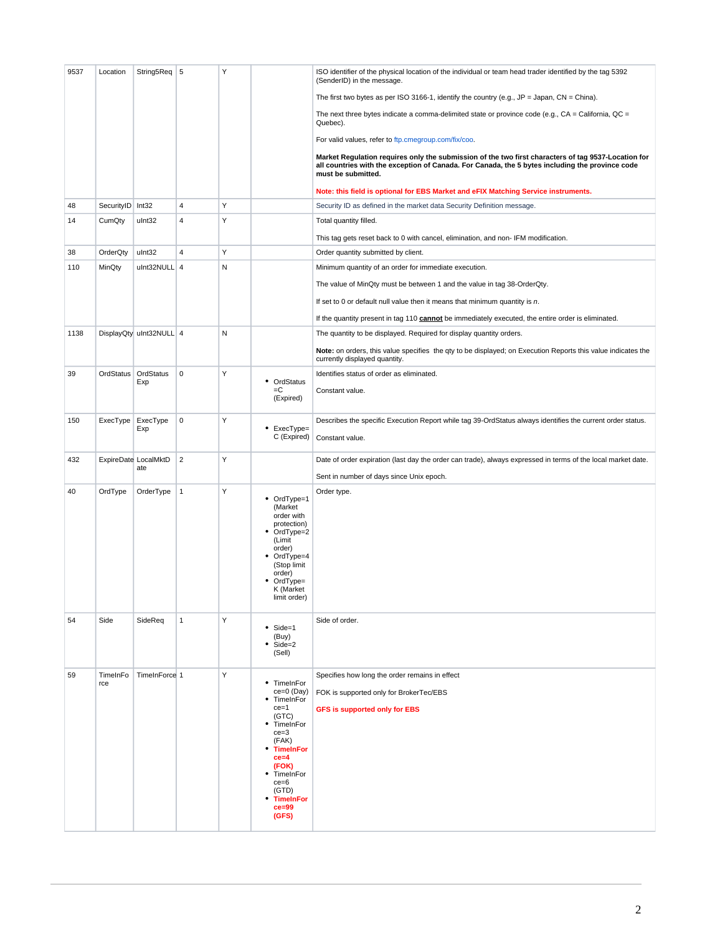| 9537 | Location         | String5Req 5                |                | Υ |                                                                                                                                                                                                                          | ISO identifier of the physical location of the individual or team head trader identified by the tag 5392<br>(SenderID) in the message.                                                                                       |
|------|------------------|-----------------------------|----------------|---|--------------------------------------------------------------------------------------------------------------------------------------------------------------------------------------------------------------------------|------------------------------------------------------------------------------------------------------------------------------------------------------------------------------------------------------------------------------|
|      |                  |                             |                |   |                                                                                                                                                                                                                          | The first two bytes as per ISO 3166-1, identify the country (e.g., $JP = Japan$ , $CN = China$ ).                                                                                                                            |
|      |                  |                             |                |   |                                                                                                                                                                                                                          | The next three bytes indicate a comma-delimited state or province code (e.g., $CA = California$ , $QC =$<br>Quebec).                                                                                                         |
|      |                  |                             |                |   |                                                                                                                                                                                                                          | For valid values, refer to ftp.cmegroup.com/fix/coo.                                                                                                                                                                         |
|      |                  |                             |                |   |                                                                                                                                                                                                                          | Market Regulation requires only the submission of the two first characters of tag 9537-Location for<br>all countries with the exception of Canada. For Canada, the 5 bytes including the province code<br>must be submitted. |
|      |                  |                             |                |   |                                                                                                                                                                                                                          | Note: this field is optional for EBS Market and eFIX Matching Service instruments.                                                                                                                                           |
| 48   | SecurityID Int32 |                             | 4              | Υ |                                                                                                                                                                                                                          | Security ID as defined in the market data Security Definition message.                                                                                                                                                       |
| 14   | CumQty           | ulnt32                      | 4              | Υ |                                                                                                                                                                                                                          | Total quantity filled.                                                                                                                                                                                                       |
|      |                  |                             |                |   |                                                                                                                                                                                                                          | This tag gets reset back to 0 with cancel, elimination, and non-IFM modification.                                                                                                                                            |
| 38   | OrderQty         | ulnt32                      | 4              | Υ |                                                                                                                                                                                                                          | Order quantity submitted by client.                                                                                                                                                                                          |
| 110  | MinQty           | ulnt32NULL 4                |                | N |                                                                                                                                                                                                                          | Minimum quantity of an order for immediate execution.                                                                                                                                                                        |
|      |                  |                             |                |   |                                                                                                                                                                                                                          | The value of MinQty must be between 1 and the value in tag 38-OrderQty.                                                                                                                                                      |
|      |                  |                             |                |   |                                                                                                                                                                                                                          | If set to 0 or default null value then it means that minimum quantity is $n$ .                                                                                                                                               |
|      |                  |                             |                |   |                                                                                                                                                                                                                          | If the quantity present in tag 110 cannot be immediately executed, the entire order is eliminated.                                                                                                                           |
| 1138 |                  | DisplayQty uInt32NULL 4     |                | N |                                                                                                                                                                                                                          | The quantity to be displayed. Required for display quantity orders.                                                                                                                                                          |
|      |                  |                             |                |   |                                                                                                                                                                                                                          | Note: on orders, this value specifies the qty to be displayed; on Execution Reports this value indicates the<br>currently displayed quantity.                                                                                |
| 39   | OrdStatus        | OrdStatus<br>Exp            | $\mathsf 0$    | Υ | • OrdStatus                                                                                                                                                                                                              | Identifies status of order as eliminated.                                                                                                                                                                                    |
|      |                  |                             |                |   | =C<br>(Expired)                                                                                                                                                                                                          | Constant value.                                                                                                                                                                                                              |
| 150  | ExecType         | ExecType                    | $\mathbf 0$    | Υ |                                                                                                                                                                                                                          | Describes the specific Execution Report while tag 39-OrdStatus always identifies the current order status.                                                                                                                   |
|      |                  | Exp                         |                |   | • ExecType=<br>C (Expired)                                                                                                                                                                                               | Constant value.                                                                                                                                                                                                              |
|      |                  |                             |                |   |                                                                                                                                                                                                                          |                                                                                                                                                                                                                              |
| 432  |                  | ExpireDate LocalMktD<br>ate | $\overline{2}$ | Υ |                                                                                                                                                                                                                          | Date of order expiration (last day the order can trade), always expressed in terms of the local market date.                                                                                                                 |
|      |                  |                             |                |   |                                                                                                                                                                                                                          | Sent in number of days since Unix epoch.                                                                                                                                                                                     |
| 40   | OrdType          | OrderType                   | $\vert$ 1      | Υ | OrdType=1<br>٠<br>(Market<br>order with<br>protection)<br>٠<br>OrdType=2<br>(Limit<br>order)<br>• OrdType=4<br>(Stop limit<br>order)<br>OrdType=<br>K (Market<br>limit order)                                            | Order type.                                                                                                                                                                                                                  |
| 54   | Side             | SideReq                     | $\mathbf{1}$   | Υ | ٠<br>Side=1<br>(Buy)<br>$\bullet$ Side=2<br>(Sell)                                                                                                                                                                       | Side of order.                                                                                                                                                                                                               |
| 59   | TimeInFo<br>rce  | TimeInForce 1               |                | Υ | • TimeInFor<br>ce=0 (Day)<br>TimeInFor<br>٠<br>$ce = 1$<br>(GTC)<br>TimeInFor<br>٠<br>$ce = 3$<br>(FAK)<br><b>TimeInFor</b><br>٠<br>$ce = 4$<br>(FOK)<br>TimeInFor<br>$ce = 6$<br>(GTD)<br><b>TimeInFor</b><br>$ce = 99$ | Specifies how long the order remains in effect<br>FOK is supported only for BrokerTec/EBS<br><b>GFS is supported only for EBS</b>                                                                                            |
|      |                  |                             |                |   | (GFS)                                                                                                                                                                                                                    |                                                                                                                                                                                                                              |